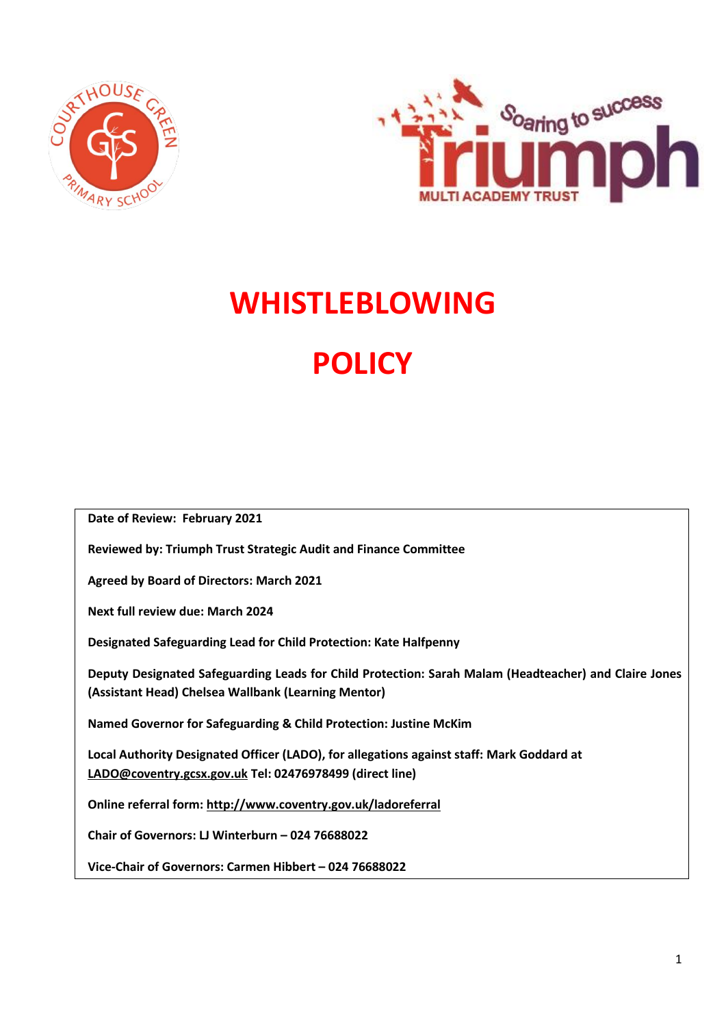



# **WHISTLEBLOWING POLICY**

**Date of Review: February 2021**

**Reviewed by: Triumph Trust Strategic Audit and Finance Committee**

**Agreed by Board of Directors: March 2021**

**Next full review due: March 2024**

**Designated Safeguarding Lead for Child Protection: Kate Halfpenny**

**Deputy Designated Safeguarding Leads for Child Protection: Sarah Malam (Headteacher) and Claire Jones (Assistant Head) Chelsea Wallbank (Learning Mentor)**

**Named Governor for Safeguarding & Child Protection: Justine McKim**

**Local Authority Designated Officer (LADO), for allegations against staff: Mark Goddard at [LADO@coventry.gcsx.gov.uk](mailto:LADO@coventry.gcsx.gov.uk) Tel: 02476978499 (direct line)**

**Online referral form:<http://www.coventry.gov.uk/ladoreferral>**

**Chair of Governors: LJ Winterburn – 024 76688022**

**Vice-Chair of Governors: Carmen Hibbert – 024 76688022**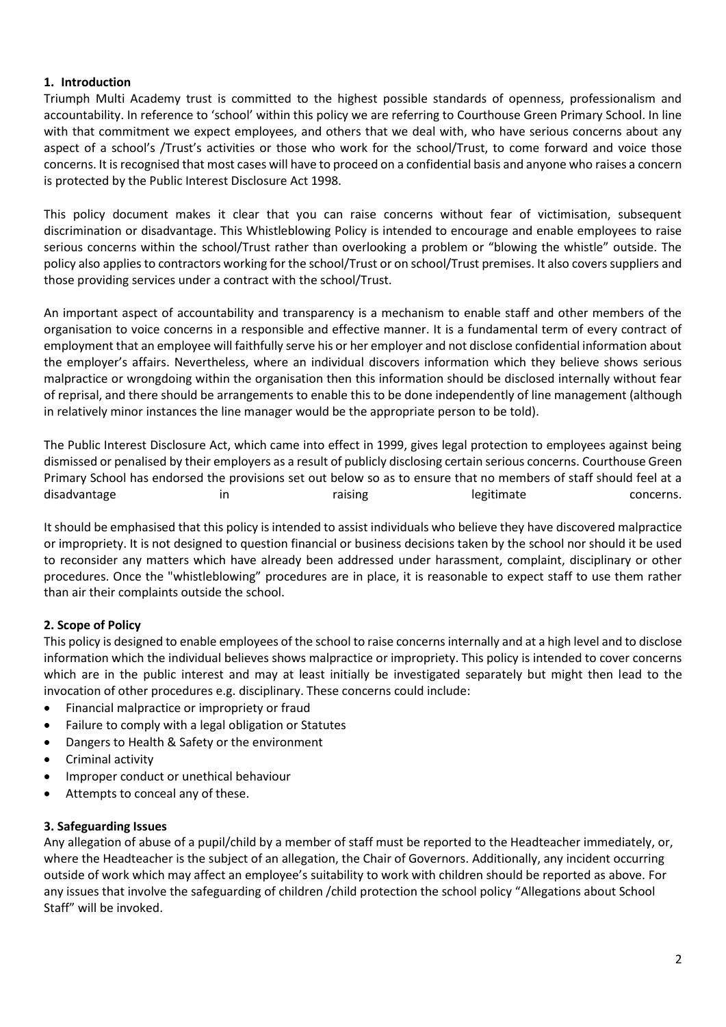## **1. Introduction**

Triumph Multi Academy trust is committed to the highest possible standards of openness, professionalism and accountability. In reference to 'school' within this policy we are referring to Courthouse Green Primary School. In line with that commitment we expect employees, and others that we deal with, who have serious concerns about any aspect of a school's /Trust's activities or those who work for the school/Trust, to come forward and voice those concerns. It is recognised that most cases will have to proceed on a confidential basis and anyone who raises a concern is protected by the Public Interest Disclosure Act 1998.

This policy document makes it clear that you can raise concerns without fear of victimisation, subsequent discrimination or disadvantage. This Whistleblowing Policy is intended to encourage and enable employees to raise serious concerns within the school/Trust rather than overlooking a problem or "blowing the whistle" outside. The policy also applies to contractors working for the school/Trust or on school/Trust premises. It also covers suppliers and those providing services under a contract with the school/Trust.

An important aspect of accountability and transparency is a mechanism to enable staff and other members of the organisation to voice concerns in a responsible and effective manner. It is a fundamental term of every contract of employment that an employee will faithfully serve his or her employer and not disclose confidential information about the employer's affairs. Nevertheless, where an individual discovers information which they believe shows serious malpractice or wrongdoing within the organisation then this information should be disclosed internally without fear of reprisal, and there should be arrangements to enable this to be done independently of line management (although in relatively minor instances the line manager would be the appropriate person to be told).

The Public Interest Disclosure Act, which came into effect in 1999, gives legal protection to employees against being dismissed or penalised by their employers as a result of publicly disclosing certain serious concerns. Courthouse Green Primary School has endorsed the provisions set out below so as to ensure that no members of staff should feel at a disadvantage in in raising legitimate concerns.

It should be emphasised that this policy is intended to assist individuals who believe they have discovered malpractice or impropriety. It is not designed to question financial or business decisions taken by the school nor should it be used to reconsider any matters which have already been addressed under harassment, complaint, disciplinary or other procedures. Once the "whistleblowing" procedures are in place, it is reasonable to expect staff to use them rather than air their complaints outside the school.

#### **2. Scope of Policy**

This policy is designed to enable employees of the school to raise concerns internally and at a high level and to disclose information which the individual believes shows malpractice or impropriety. This policy is intended to cover concerns which are in the public interest and may at least initially be investigated separately but might then lead to the invocation of other procedures e.g. disciplinary. These concerns could include:

- Financial malpractice or impropriety or fraud
- Failure to comply with a legal obligation or Statutes
- Dangers to Health & Safety or the environment
- Criminal activity
- Improper conduct or unethical behaviour
- Attempts to conceal any of these.

#### **3. Safeguarding Issues**

Any allegation of abuse of a pupil/child by a member of staff must be reported to the Headteacher immediately, or, where the Headteacher is the subject of an allegation, the Chair of Governors. Additionally, any incident occurring outside of work which may affect an employee's suitability to work with children should be reported as above. For any issues that involve the safeguarding of children /child protection the school policy "Allegations about School Staff" will be invoked.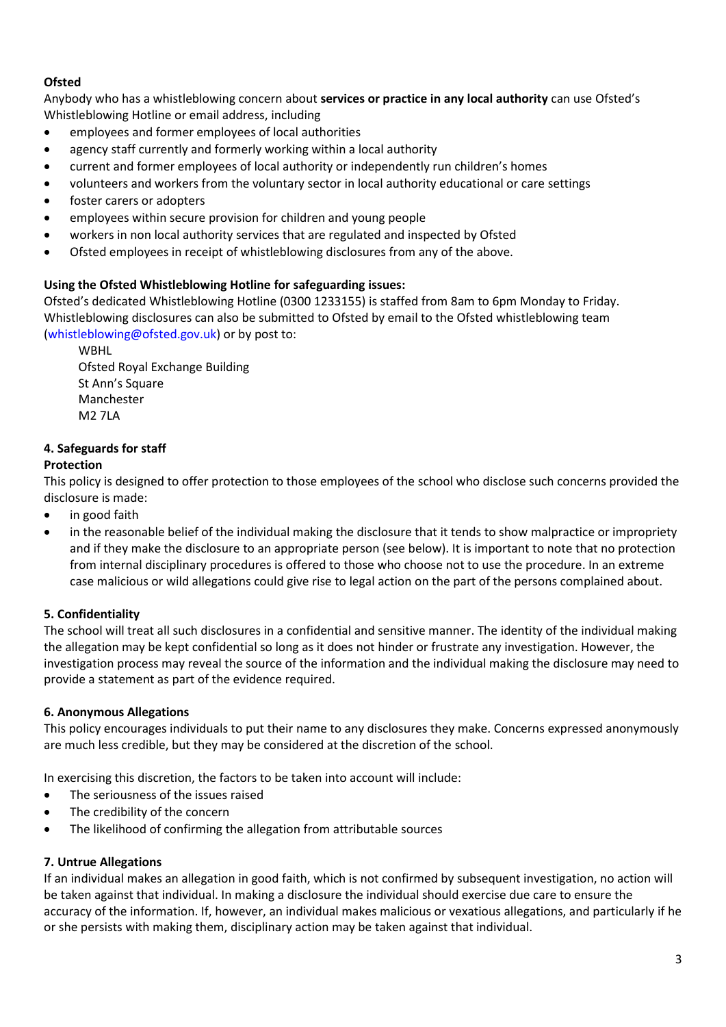## **Ofsted**

Anybody who has a whistleblowing concern about **services or practice in any local authority** can use Ofsted's Whistleblowing Hotline or email address, including

- employees and former employees of local authorities
- agency staff currently and formerly working within a local authority
- current and former employees of local authority or independently run children's homes
- volunteers and workers from the voluntary sector in local authority educational or care settings
- foster carers or adopters
- employees within secure provision for children and young people
- workers in non local authority services that are regulated and inspected by Ofsted
- Ofsted employees in receipt of whistleblowing disclosures from any of the above.

## **Using the Ofsted Whistleblowing Hotline for safeguarding issues:**

Ofsted's dedicated Whistleblowing Hotline (0300 1233155) is staffed from 8am to 6pm Monday to Friday. Whistleblowing disclosures can also be submitted to Ofsted by email to the Ofsted whistleblowing team [\(whistleblowing@ofsted.gov.uk\)](mailto:whistleblowing@ofsted.gov.uk) or by post to:

WBHL Ofsted Royal Exchange Building St Ann's Square Manchester M2 7LA

# **4. Safeguards for staff**

#### **Protection**

This policy is designed to offer protection to those employees of the school who disclose such concerns provided the disclosure is made:

- in good faith
- in the reasonable belief of the individual making the disclosure that it tends to show malpractice or impropriety and if they make the disclosure to an appropriate person (see below). It is important to note that no protection from internal disciplinary procedures is offered to those who choose not to use the procedure. In an extreme case malicious or wild allegations could give rise to legal action on the part of the persons complained about.

## **5. Confidentiality**

The school will treat all such disclosures in a confidential and sensitive manner. The identity of the individual making the allegation may be kept confidential so long as it does not hinder or frustrate any investigation. However, the investigation process may reveal the source of the information and the individual making the disclosure may need to provide a statement as part of the evidence required.

#### **6. Anonymous Allegations**

This policy encourages individuals to put their name to any disclosures they make. Concerns expressed anonymously are much less credible, but they may be considered at the discretion of the school.

In exercising this discretion, the factors to be taken into account will include:

- The seriousness of the issues raised
- The credibility of the concern
- The likelihood of confirming the allegation from attributable sources

#### **7. Untrue Allegations**

If an individual makes an allegation in good faith, which is not confirmed by subsequent investigation, no action will be taken against that individual. In making a disclosure the individual should exercise due care to ensure the accuracy of the information. If, however, an individual makes malicious or vexatious allegations, and particularly if he or she persists with making them, disciplinary action may be taken against that individual.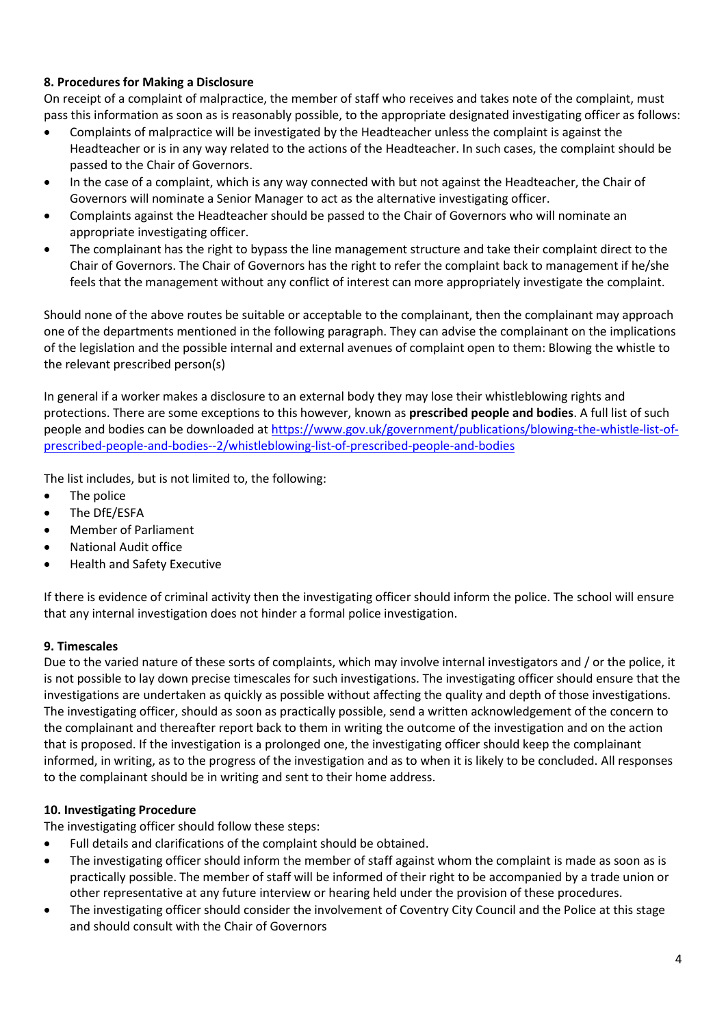## **8. Procedures for Making a Disclosure**

On receipt of a complaint of malpractice, the member of staff who receives and takes note of the complaint, must pass this information as soon as is reasonably possible, to the appropriate designated investigating officer as follows:

- Complaints of malpractice will be investigated by the Headteacher unless the complaint is against the Headteacher or is in any way related to the actions of the Headteacher. In such cases, the complaint should be passed to the Chair of Governors.
- In the case of a complaint, which is any way connected with but not against the Headteacher, the Chair of Governors will nominate a Senior Manager to act as the alternative investigating officer.
- Complaints against the Headteacher should be passed to the Chair of Governors who will nominate an appropriate investigating officer.
- The complainant has the right to bypass the line management structure and take their complaint direct to the Chair of Governors. The Chair of Governors has the right to refer the complaint back to management if he/she feels that the management without any conflict of interest can more appropriately investigate the complaint.

Should none of the above routes be suitable or acceptable to the complainant, then the complainant may approach one of the departments mentioned in the following paragraph. They can advise the complainant on the implications of the legislation and the possible internal and external avenues of complaint open to them: Blowing the whistle to the relevant prescribed person(s)

In general if a worker makes a disclosure to an external body they may lose their whistleblowing rights and protections. There are some exceptions to this however, known as **prescribed people and bodies**. A full list of such people and bodies can be downloaded a[t https://www.gov.uk/government/publications/blowing-the-whistle-list-of](https://www.gov.uk/government/publications/blowing-the-whistle-list-of-prescribed-people-and-bodies--2/whistleblowing-list-of-prescribed-people-and-bodies)[prescribed-people-and-bodies--2/whistleblowing-list-of-prescribed-people-and-bodies](https://www.gov.uk/government/publications/blowing-the-whistle-list-of-prescribed-people-and-bodies--2/whistleblowing-list-of-prescribed-people-and-bodies)

The list includes, but is not limited to, the following:

- The police
- The DfE/ESFA
- Member of Parliament
- National Audit office
- Health and Safety Executive

If there is evidence of criminal activity then the investigating officer should inform the police. The school will ensure that any internal investigation does not hinder a formal police investigation.

#### **9. Timescales**

Due to the varied nature of these sorts of complaints, which may involve internal investigators and / or the police, it is not possible to lay down precise timescales for such investigations. The investigating officer should ensure that the investigations are undertaken as quickly as possible without affecting the quality and depth of those investigations. The investigating officer, should as soon as practically possible, send a written acknowledgement of the concern to the complainant and thereafter report back to them in writing the outcome of the investigation and on the action that is proposed. If the investigation is a prolonged one, the investigating officer should keep the complainant informed, in writing, as to the progress of the investigation and as to when it is likely to be concluded. All responses to the complainant should be in writing and sent to their home address.

#### **10. Investigating Procedure**

The investigating officer should follow these steps:

- Full details and clarifications of the complaint should be obtained.
- The investigating officer should inform the member of staff against whom the complaint is made as soon as is practically possible. The member of staff will be informed of their right to be accompanied by a trade union or other representative at any future interview or hearing held under the provision of these procedures.
- The investigating officer should consider the involvement of Coventry City Council and the Police at this stage and should consult with the Chair of Governors